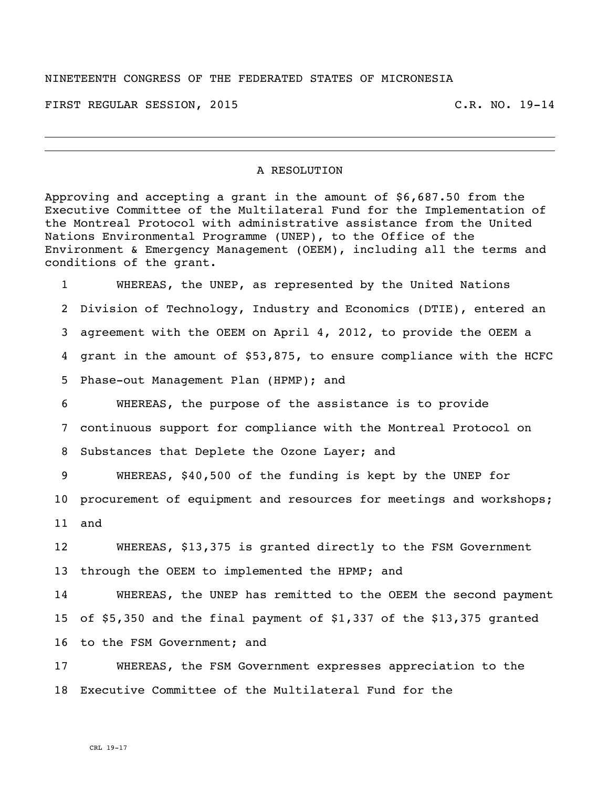## NINETEENTH CONGRESS OF THE FEDERATED STATES OF MICRONESIA

FIRST REGULAR SESSION, 2015 C.R. NO. 19-14

## A RESOLUTION

Approving and accepting a grant in the amount of \$6,687.50 from the Executive Committee of the Multilateral Fund for the Implementation of the Montreal Protocol with administrative assistance from the United Nations Environmental Programme (UNEP), to the Office of the Environment & Emergency Management (OEEM), including all the terms and conditions of the grant.

 WHEREAS, the UNEP, as represented by the United Nations Division of Technology, Industry and Economics (DTIE), entered an agreement with the OEEM on April 4, 2012, to provide the OEEM a grant in the amount of \$53,875, to ensure compliance with the HCFC Phase-out Management Plan (HPMP); and

 WHEREAS, the purpose of the assistance is to provide continuous support for compliance with the Montreal Protocol on Substances that Deplete the Ozone Layer; and

 WHEREAS, \$40,500 of the funding is kept by the UNEP for procurement of equipment and resources for meetings and workshops; and

 WHEREAS, \$13,375 is granted directly to the FSM Government through the OEEM to implemented the HPMP; and

 WHEREAS, the UNEP has remitted to the OEEM the second payment of \$5,350 and the final payment of \$1,337 of the \$13,375 granted to the FSM Government; and

 WHEREAS, the FSM Government expresses appreciation to the Executive Committee of the Multilateral Fund for the